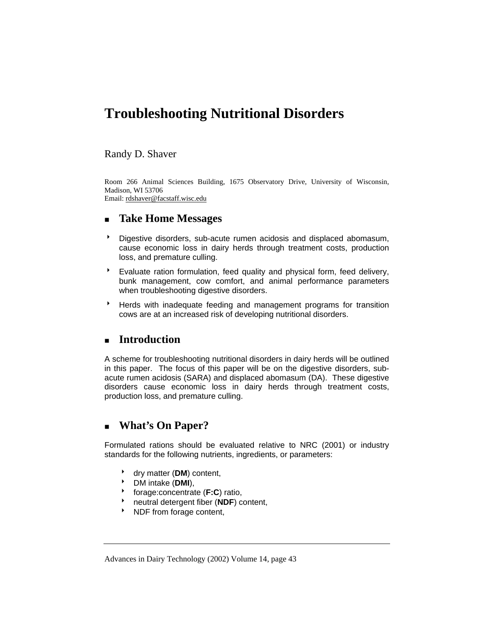# **Troubleshooting Nutritional Disorders**

#### Randy D. Shaver

Room 266 Animal Sciences Building, 1675 Observatory Drive, University of Wisconsin, Madison, WI 53706

Email: rdshaver@facstaff.wisc.edu

## **Take Home Messages**

- 8 Digestive disorders, sub-acute rumen acidosis and displaced abomasum, cause economic loss in dairy herds through treatment costs, production loss, and premature culling.
- $\overline{B}$  Evaluate ration formulation, feed quality and physical form, feed delivery, bunk management, cow comfort, and animal performance parameters when troubleshooting digestive disorders.
- **BER Herds with inadequate feeding and management programs for transition** cows are at an increased risk of developing nutritional disorders.

#### **Introduction**

A scheme for troubleshooting nutritional disorders in dairy herds will be outlined in this paper. The focus of this paper will be on the digestive disorders, subacute rumen acidosis (SARA) and displaced abomasum (DA). These digestive disorders cause economic loss in dairy herds through treatment costs, production loss, and premature culling.

# **What's On Paper?**

Formulated rations should be evaluated relative to NRC (2001) or industry standards for the following nutrients, ingredients, or parameters:

- <sup>t</sup> dry matter (DM) content,
- 8 DM intake (**DMI**),
- <sup>t</sup> forage:concentrate (F:C) ratio,
- \* neutral detergent fiber (**NDF**) content,
- **NDF** from forage content,

Advances in Dairy Technology (2002) Volume 14, page 43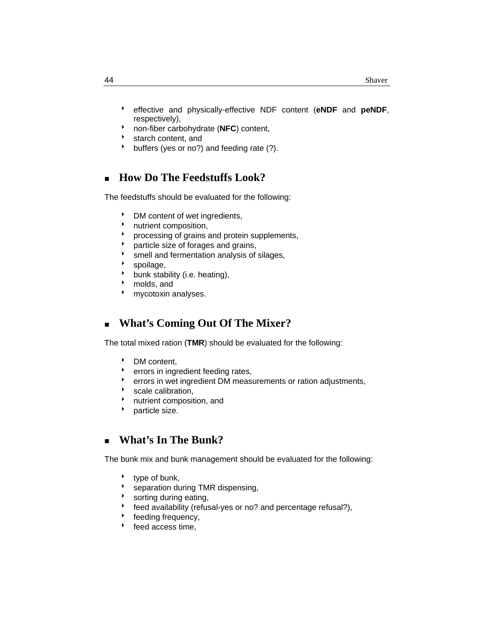- 8 effective and physically-effective NDF content (**eNDF** and **peNDF**, respectively),
- 8 non-fiber carbohydrate (**NFC**) content,
- $\cdot$  starch content, and
- buffers (yes or no?) and feeding rate (?).

## **How Do The Feedstuffs Look?**

The feedstuffs should be evaluated for the following:

- **BET** DM content of wet ingredients,
- nutrient composition,
- processing of grains and protein supplements,
- particle size of forages and grains,
- smell and fermentation analysis of silages,
- $\cdot$  spoilage,
- $\bullet$  bunk stability (i.e. heating),
- molds, and
- **b** mycotoxin analyses.

# **What's Coming Out Of The Mixer?**

The total mixed ration (**TMR**) should be evaluated for the following:

- DM content,
- **b** errors in ingredient feeding rates,
- errors in wet ingredient DM measurements or ration adjustments,
- scale calibration,
- **b** nutrient composition, and
- $\rightarrow$  particle size.

#### **What's In The Bunk?**

The bunk mix and bunk management should be evaluated for the following:

- $\cdot$  type of bunk,
- **\*** separation during TMR dispensing,
- $\bullet$  sorting during eating,
- feed availability (refusal-yes or no? and percentage refusal?),
- feeding frequency,
- $\cdot$  feed access time,